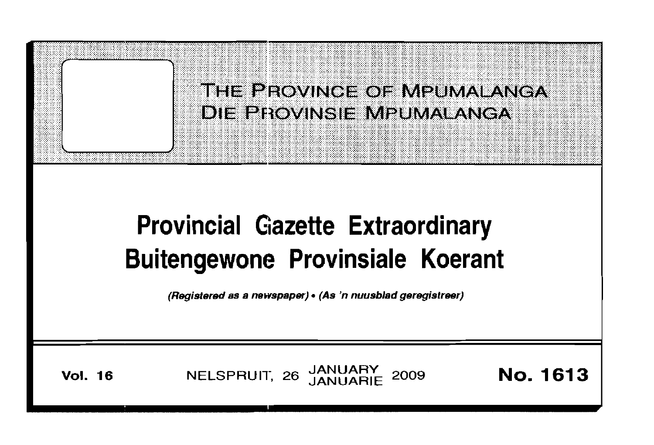

# **Provincial Gazette Extraordinary Buitengewone Provinsiale Koerant**

(Registered as a newspaper). (As 'n nuusblad geregistreer)

**Vol. 16** NELSPRUIT, 26 JANUARY 2009 **No. 1613**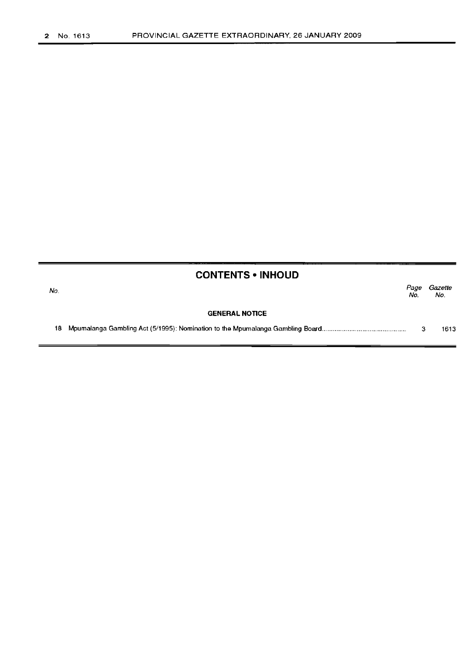| <b>CONTENTS • INHOUD</b> |                       |             |                |
|--------------------------|-----------------------|-------------|----------------|
| No.                      |                       | Page<br>No. | Gazette<br>No. |
|                          | <b>GENERAL NOTICE</b> |             |                |
| 18                       |                       | з           | 1613           |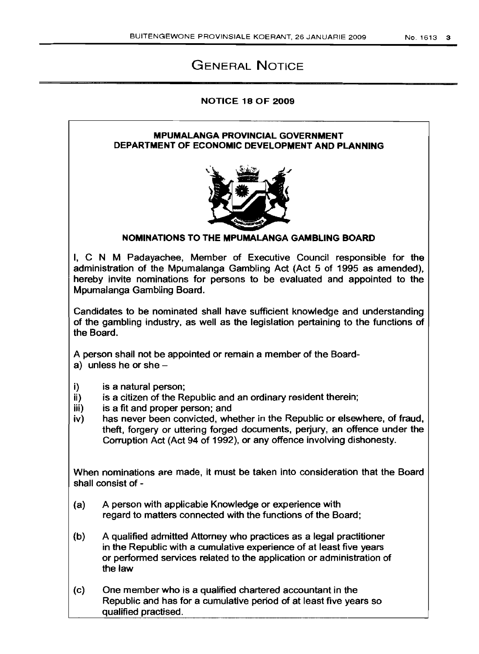## GENERAL NOTICE

#### NOTICE 18 OF 2009

#### MPUMALANGA PROVINCIAL GOVERNMENT DEPARTMENT OF ECONOMIC DEVELOPMENT AND PLANNING



### NOMINATIONS TO THE MPUMALANGA GAMBLING BOARD

I, C N M Padayachee, Member of Executive Council responsible for the administration of the Mpumalanga Gambling Act (Act 5 of 1995 as amended), hereby invite nominations for persons to be evaluated and appointed to the Mpumalanga Gambling Board.

Candidates to be nominated shall have sufficient knowledge and understanding of the gambling industry, as well as the legislation pertaining to the functions of the Board.

A person shall not be appointed or remain a member of the Board-

- a) unless he or she  $-$
- i) is a natural person;
- $i$  is a citizen of the Republic and an ordinary resident therein;
- iii) is a fit and proper person; and
- iv) has never been convicted, whether in the Republic or elsewhere, of fraud, theft, forgery or uttering forged documents, perjury, an offence under the Corruption Act (Act 94 of 1992), or any offence involving dishonesty.

When nominations are made, it must be taken into consideration that the Board shall consist of -

- (a) A person with applicable Knowledge or experience with regard to matters connected with the functions of the Board;
- (b) A qualified admitted Attorney who practices as a legal practitioner in the Republic with a cumulative experience of at least five years or performed services related to the application or administration of the law
- (c) One member who is a qualified chartered accountant in the Republic and has for a cumulative period of at least five years so qualified practised.